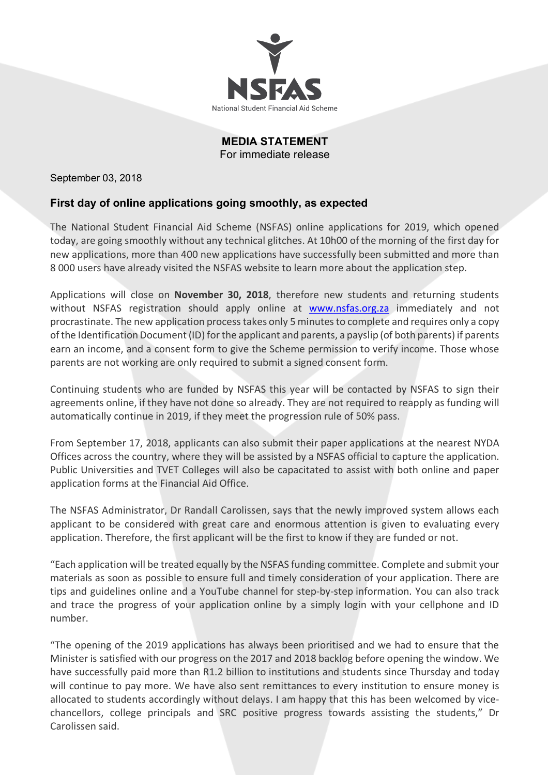

**MEDIA STATEMENT** For immediate release

September 03, 2018

# **First day of online applications going smoothly, as expected**

The National Student Financial Aid Scheme (NSFAS) online applications for 2019, which opened today, are going smoothly without any technical glitches. At 10h00 of the morning of the first day for new applications, more than 400 new applications have successfully been submitted and more than 8 000 users have already visited the NSFAS website to learn more about the application step.

Applications will close on **November 30, 2018**, therefore new students and returning students without NSFAS registration should apply online at www.nsfas.org.za immediately and not procrastinate. The new application processtakes only 5 minutes to complete and requires only a copy of the Identification Document (ID) forthe applicant and parents, a payslip (of both parents) if parents earn an income, and a consent form to give the Scheme permission to verify income. Those whose parents are not working are only required to submit a signed consent form.

Continuing students who are funded by NSFAS this year will be contacted by NSFAS to sign their agreements online, if they have not done so already. They are not required to reapply as funding will automatically continue in 2019, if they meet the progression rule of 50% pass.

From September 17, 2018, applicants can also submit their paper applications at the nearest NYDA Offices across the country, where they will be assisted by a NSFAS official to capture the application. Public Universities and TVET Colleges will also be capacitated to assist with both online and paper application forms at the Financial Aid Office.

The NSFAS Administrator, Dr Randall Carolissen, says that the newly improved system allows each applicant to be considered with great care and enormous attention is given to evaluating every application. Therefore, the first applicant will be the first to know if they are funded or not.

"Each application will be treated equally by the NSFAS funding committee. Complete and submit your materials as soon as possible to ensure full and timely consideration of your application. There are tips and guidelines online and a YouTube channel for step-by-step information. You can also track and trace the progress of your application online by a simply login with your cellphone and ID number.

"The opening of the 2019 applications has always been prioritised and we had to ensure that the Minister is satisfied with our progress on the 2017 and 2018 backlog before opening the window. We have successfully paid more than R1.2 billion to institutions and students since Thursday and today will continue to pay more. We have also sent remittances to every institution to ensure money is allocated to students accordingly without delays. I am happy that this has been welcomed by vicechancellors, college principals and SRC positive progress towards assisting the students," Dr Carolissen said.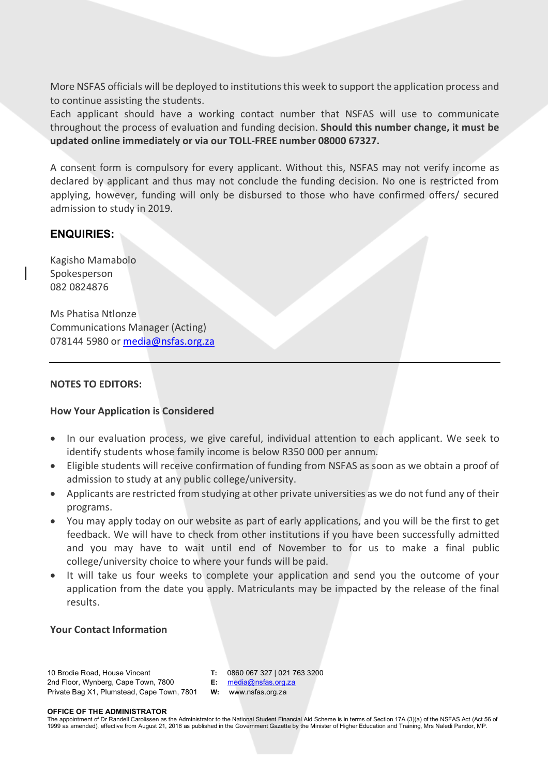More NSFAS officials will be deployed to institutions this week to support the application process and to continue assisting the students.

Each applicant should have a working contact number that NSFAS will use to communicate throughout the process of evaluation and funding decision. **Should this number change, it must be updated online immediately or via our TOLL-FREE number 08000 67327.**

A consent form is compulsory for every applicant. Without this, NSFAS may not verify income as declared by applicant and thus may not conclude the funding decision. No one is restricted from applying, however, funding will only be disbursed to those who have confirmed offers/ secured admission to study in 2019.

# **ENQUIRIES:**

Kagisho Mamabolo Spokesperson 082 0824876

Ms Phatisa Ntlonze Communications Manager (Acting) 078144 5980 or media@nsfas.org.za

## **NOTES TO EDITORS:**

## **How Your Application is Considered**

- In our evaluation process, we give careful, individual attention to each applicant. We seek to identify students whose family income is below R350 000 per annum.
- Eligible students will receive confirmation of funding from NSFAS as soon as we obtain a proof of admission to study at any public college/university.
- Applicants are restricted from studying at other private universities as we do not fund any of their programs.
- You may apply today on our website as part of early applications, and you will be the first to get feedback. We will have to check from other institutions if you have been successfully admitted and you may have to wait until end of November to for us to make a final public college/university choice to where your funds will be paid.
- It will take us four weeks to complete your application and send you the outcome of your application from the date you apply. Matriculants may be impacted by the release of the final results.

## **Your Contact Information**

#### 10 Brodie Road, House Vincent 2nd Floor, Wynberg, Cape Town, 7800 Private Bag X1, Plumstead, Cape Town, 7801

**T:** 0860 067 327 | 021 763 3200

**E:** media@nsfas.org.za **W:** www.nsfas.org.za

#### **OFFICE OF THE ADMINISTRATOR**

The appointment of Dr Randell Carolissen as the Administrator to the National Student Financial Aid Scheme is in terms of Section 17A (3)(a) of the NSFAS Act (Act 56 of 1999 as amended), effective from August 21, 2018 as published in the Government Gazette by the Minister of Higher Education and Training, Mrs Naledi Pandor, MP.